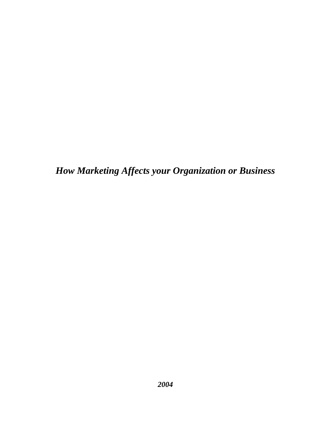*How Marketing Affects your Organization or Business*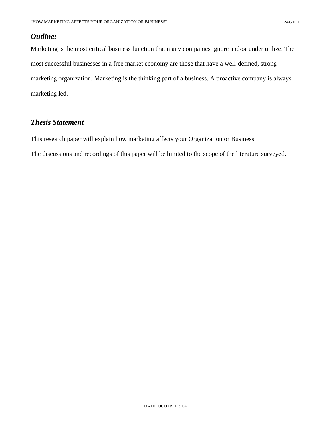## *Outline:*

Marketing is the most critical business function that many companies ignore and/or under utilize. The most successful businesses in a free market economy are those that have a well-defined, strong marketing organization. Marketing is the thinking part of a business. A proactive company is always marketing led.

## *Thesis Statement*

## This research paper will explain how marketing affects your Organization or Business

The discussions and recordings of this paper will be limited to the scope of the literature surveyed.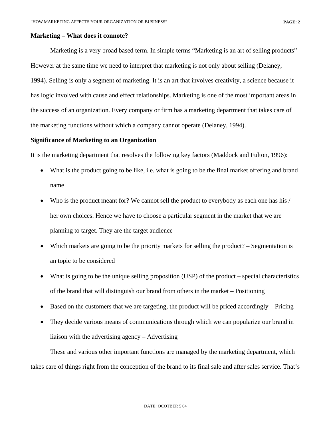#### **Marketing – What does it connote?**

Marketing is a very broad based term. In simple terms "Marketing is an art of selling products" However at the same time we need to interpret that marketing is not only about selling (Delaney, 1994). Selling is only a segment of marketing. It is an art that involves creativity, a science because it has logic involved with cause and effect relationships. Marketing is one of the most important areas in the success of an organization. Every company or firm has a marketing department that takes care of the marketing functions without which a company cannot operate (Delaney, 1994).

#### **Significance of Marketing to an Organization**

It is the marketing department that resolves the following key factors (Maddock and Fulton, 1996):

- What is the product going to be like, i.e. what is going to be the final market offering and brand name
- Who is the product meant for? We cannot sell the product to everybody as each one has his / her own choices. Hence we have to choose a particular segment in the market that we are planning to target. They are the target audience
- Which markets are going to be the priority markets for selling the product? Segmentation is an topic to be considered
- What is going to be the unique selling proposition (USP) of the product special characteristics of the brand that will distinguish our brand from others in the market – Positioning
- Based on the customers that we are targeting, the product will be priced accordingly Pricing
- They decide various means of communications through which we can popularize our brand in liaison with the advertising agency – Advertising

These and various other important functions are managed by the marketing department, which takes care of things right from the conception of the brand to its final sale and after sales service. That's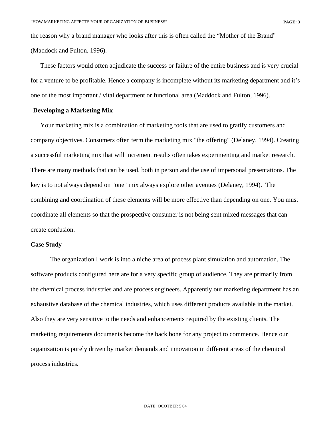the reason why a brand manager who looks after this is often called the "Mother of the Brand" (Maddock and Fulton, 1996).

These factors would often adjudicate the success or failure of the entire business and is very crucial for a venture to be profitable. Hence a company is incomplete without its marketing department and it's one of the most important / vital department or functional area (Maddock and Fulton, 1996).

### **Developing a Marketing Mix**

Your marketing mix is a combination of marketing tools that are used to gratify customers and company objectives. Consumers often term the marketing mix "the offering" (Delaney, 1994). Creating a successful marketing mix that will increment results often takes experimenting and market research. There are many methods that can be used, both in person and the use of impersonal presentations. The key is to not always depend on "one" mix always explore other avenues (Delaney, 1994). The combining and coordination of these elements will be more effective than depending on one. You must coordinate all elements so that the prospective consumer is not being sent mixed messages that can create confusion.

#### **Case Study**

The organization I work is into a niche area of process plant simulation and automation. The software products configured here are for a very specific group of audience. They are primarily from the chemical process industries and are process engineers. Apparently our marketing department has an exhaustive database of the chemical industries, which uses different products available in the market. Also they are very sensitive to the needs and enhancements required by the existing clients. The marketing requirements documents become the back bone for any project to commence. Hence our organization is purely driven by market demands and innovation in different areas of the chemical process industries.